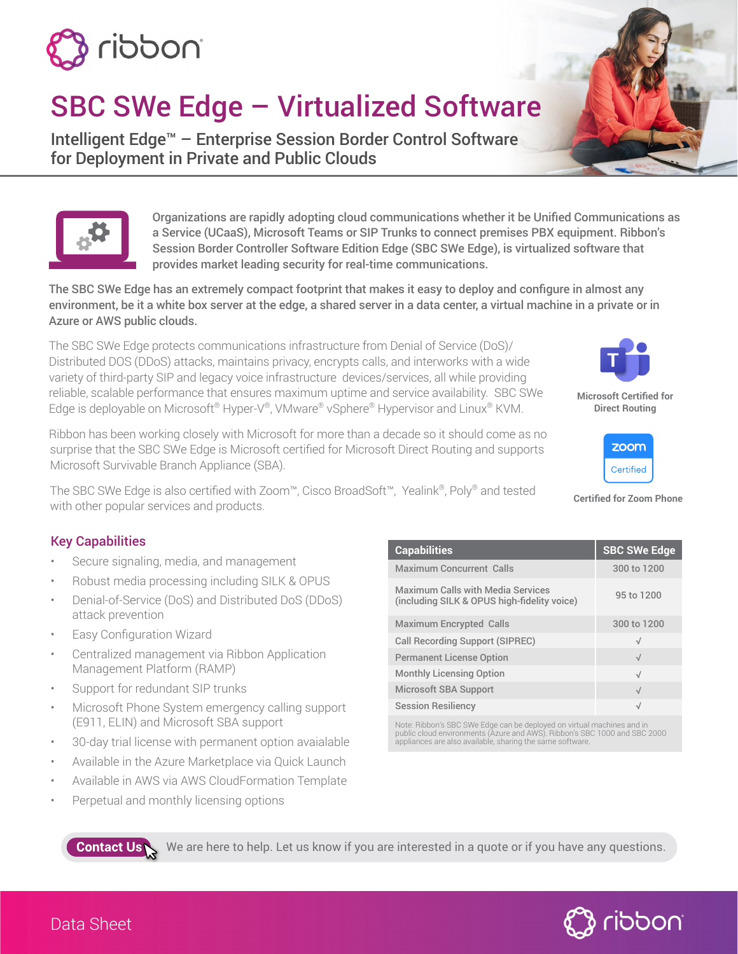

# SBC SWe Edge – Virtualized Software

Intelligent Edge™ – Enterprise Session Border Control Software for Deployment in Private and Public Clouds



Organizations are rapidly adopting cloud communications whether it be Unified Communications as a Service (UCaaS), Microsoft Teams or SIP Trunks to connect premises PBX equipment. Ribbon's Session Border Controller Software Edition Edge (SBC SWe Edge), is virtualized software that provides market leading security for real-time communications.

The SBC SWe Edge has an extremely compact footprint that makes it easy to deploy and configure in almost any environment, be it a white box server at the edge, a shared server in a data center, a virtual machine in a private or in Azure or AWS public clouds.

The SBC SWe Edge protects communications infrastructure from Denial of Service (DoS)/ Distributed DOS (DDoS) attacks, maintains privacy, encrypts calls, and interworks with a wide variety of third-party SIP and legacy voice infrastructure devices/services, all while providing reliable, scalable performance that ensures maximum uptime and service availability. SBC SWe Edge is deployable on Microsoft® Hyper-V®, VMware® vSphere® Hypervisor and Linux® KVM.

Ribbon has been working closely with Microsoft for more than a decade so it should come as no surprise that the SBC SWe Edge is Microsoft certified for Microsoft Direct Routing and supports Microsoft Survivable Branch Appliance (SBA).

The SBC SWe Edge is also certified with Zoom™, Cisco BroadSoft™, Yealink®, Poly® and tested with other popular services and products.

#### Key Capabilities

- Secure signaling, media, and management
- Robust media processing including SILK & OPUS
- Denial-of-Service (DoS) and Distributed DoS (DDoS) attack prevention
- Easy Configuration Wizard
- Centralized management via Ribbon Application Management Platform (RAMP)
- Support for redundant SIP trunks
- Microsoft Phone System emergency calling support (E911, ELIN) and Microsoft SBA support
- 30-day trial license with permanent option avaialable
- Available in the Azure Marketplace via Quick Launch
- Available in AWS via AWS CloudFormation Template
- Perpetual and monthly licensing options

| <b>Capabilities</b>                                                              | <b>SBC SWe Edge</b> |
|----------------------------------------------------------------------------------|---------------------|
| <b>Maximum Concurrent Calls</b>                                                  | 300 to 1200         |
| Maximum Calls with Media Services<br>(including SILK & OPUS high-fidelity voice) | 95 to 1200          |
| <b>Maximum Encrypted Calls</b>                                                   | 300 to 1200         |
| Call Recording Support (SIPREC)                                                  | $\sqrt{}$           |
| <b>Permanent License Option</b>                                                  | $\sqrt{ }$          |
| <b>Monthly Licensing Option</b>                                                  | $\sqrt{ }$          |
| Microsoft SBA Support                                                            | $\sqrt{}$           |
| <b>Session Resiliency</b>                                                        | $\sqrt{}$           |

Note: Ribbon's SBC SWe Edge can be deployed on virtual machines and in<br>public cloud environments (Azure and AWS). Ribbon's SBC 1000 and SBC 2000<br>appliances are also available, sharing the same software.



**Microsoft Certified for Direct Routing**



**Certified for Zoom Phone**

[We are here to help. Let us know if you are interested in a quote or if you have any questions.](https://share.hsforms.com/11bxkR8UjQeW4t85wSKld-g4xyeb) 



**Contact Us**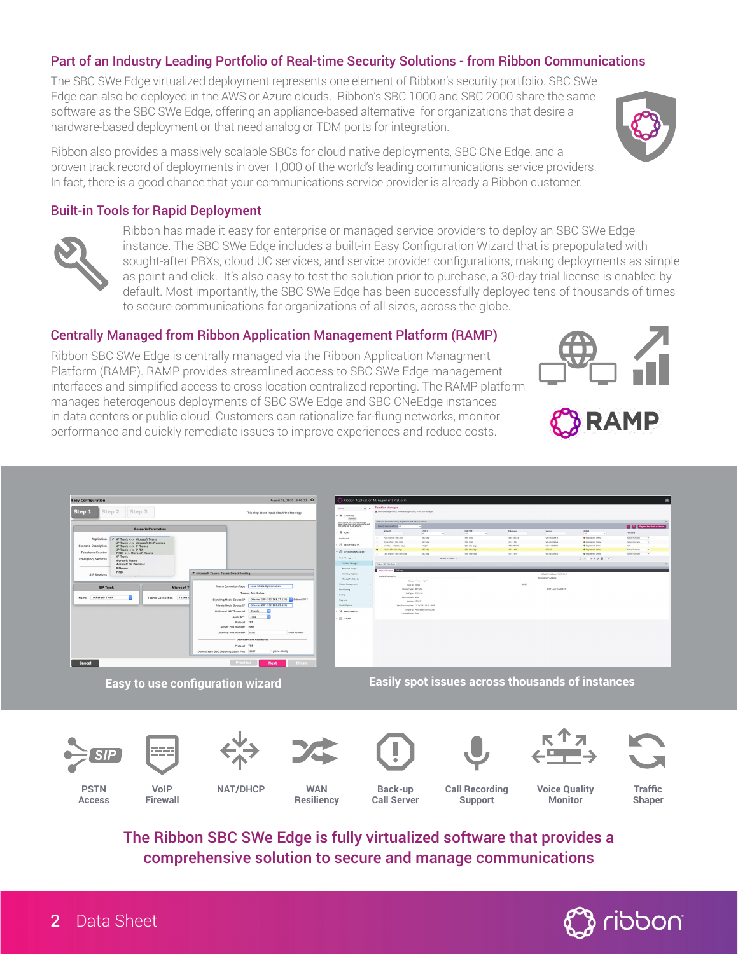#### Part of an Industry Leading Portfolio of Real-time Security Solutions - from Ribbon Communications

The SBC SWe Edge virtualized deployment represents one element of Ribbon's security portfolio. SBC SWe Edge can also be deployed in the AWS or Azure clouds. Ribbon's SBC 1000 and SBC 2000 share the same software as the SBC SWe Edge, offering an appliance-based alternative for organizations that desire a hardware-based deployment or that need analog or TDM ports for integration.

Ribbon also provides a massively scalable SBCs for cloud native deployments, SBC CNe Edge, and a proven track record of deployments in over 1,000 of the world's leading communications service providers. In fact, there is a good chance that your communications service provider is already a Ribbon customer.

#### Built-in Tools for Rapid Deployment



Ribbon has made it easy for enterprise or managed service providers to deploy an SBC SWe Edge instance. The SBC SWe Edge includes a built-in Easy Configuration Wizard that is prepopulated with sought-after PBXs, cloud UC services, and service provider configurations, making deployments as simple as point and click. It's also easy to test the solution prior to purchase, a 30-day trial license is enabled by default. Most importantly, the SBC SWe Edge has been successfully deployed tens of thousands of times to secure communications for organizations of all sizes, across the globe.

#### Centrally Managed from Ribbon Application Management Platform (RAMP)

Ribbon SBC SWe Edge is centrally managed via the Ribbon Application Managment Platform (RAMP). RAMP provides streamlined access to SBC SWe Edge management interfaces and simplified access to cross location centralized reporting. The RAMP platform manages heterogenous deployments of SBC SWe Edge and SBC CNeEdge instances in data centers or public cloud. Customers can rationalize far-flung networks, monitor performance and quickly remediate issues to improve experiences and reduce costs.





**Easy to use configuration wizard Easily spot issues across thousands of instances**















**RAMP** 

**PSTN Access**

**VoIP Firewall**

**NAT/DHCP WAN**

**Resiliency**

**Back-up Call Server**

**Call Recording Support**

**Voice Quality Monitor**

**Traffic Shaper**

The Ribbon SBC SWe Edge is fully virtualized software that provides a comprehensive solution to secure and manage communications

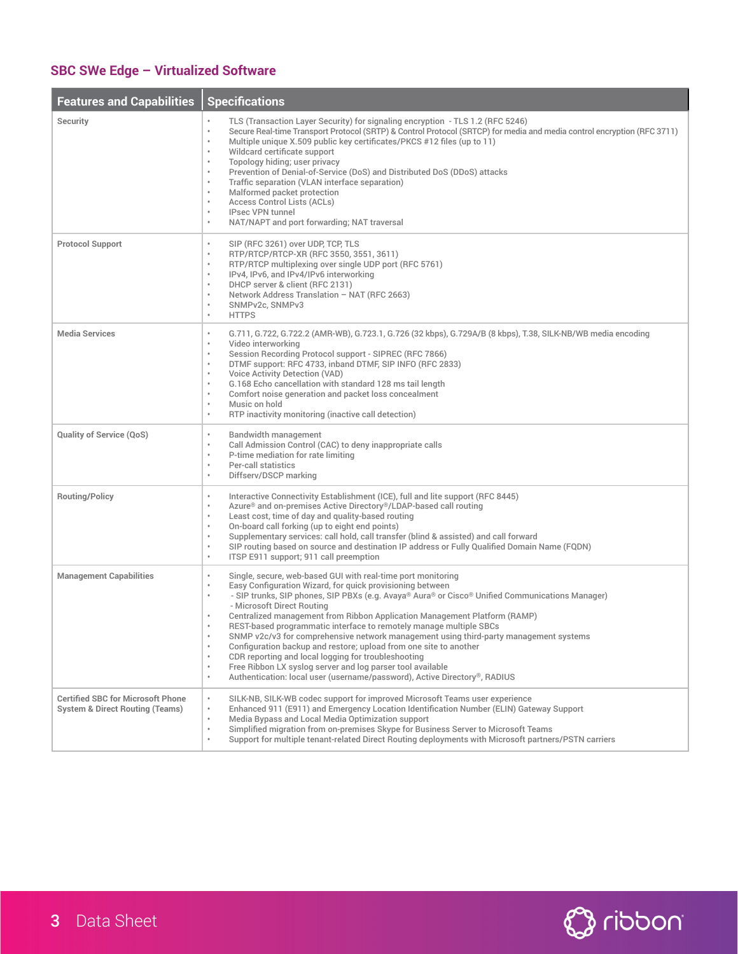## **SBC SWe Edge – Virtualized Software**

÷

| <b>Features and Capabilities</b>                                                       | <b>Specifications</b>                                                                                                                                                                                                                                                                                                                                                                                                                                                                                                                                                                                                                                                                                                                                                                                                                                                    |
|----------------------------------------------------------------------------------------|--------------------------------------------------------------------------------------------------------------------------------------------------------------------------------------------------------------------------------------------------------------------------------------------------------------------------------------------------------------------------------------------------------------------------------------------------------------------------------------------------------------------------------------------------------------------------------------------------------------------------------------------------------------------------------------------------------------------------------------------------------------------------------------------------------------------------------------------------------------------------|
| <b>Security</b>                                                                        | TLS (Transaction Layer Security) for signaling encryption - TLS 1.2 (RFC 5246)<br>Secure Real-time Transport Protocol (SRTP) & Control Protocol (SRTCP) for media and media control encryption (RFC 3711)<br>$\bullet$<br>Multiple unique X.509 public key certificates/PKCS #12 files (up to 11)<br>$\bullet$<br>Wildcard certificate support<br>Topology hiding; user privacy<br>$\bullet$<br>Prevention of Denial-of-Service (DoS) and Distributed DoS (DDoS) attacks<br>Traffic separation (VLAN interface separation)<br>$\bullet$<br>Malformed packet protection<br>$\bullet$<br><b>Access Control Lists (ACLs)</b><br><b>IPsec VPN tunnel</b><br>$\bullet$<br>NAT/NAPT and port forwarding; NAT traversal                                                                                                                                                         |
| <b>Protocol Support</b>                                                                | SIP (RFC 3261) over UDP, TCP, TLS<br>$\bullet$<br>RTP/RTCP/RTCP-XR (RFC 3550, 3551, 3611)<br>$\bullet$<br>RTP/RTCP multiplexing over single UDP port (RFC 5761)<br>$\bullet$<br>IPv4, IPv6, and IPv4/IPv6 interworking<br>DHCP server & client (RFC 2131)<br>$\bullet$<br>Network Address Translation - NAT (RFC 2663)<br>SNMPv2c, SNMPv3<br>$\bullet$<br><b>HTTPS</b><br>$\bullet$                                                                                                                                                                                                                                                                                                                                                                                                                                                                                      |
| <b>Media Services</b>                                                                  | G.711, G.722, G.722.2 (AMR-WB), G.723.1, G.726 (32 kbps), G.729A/B (8 kbps), T.38, SILK-NB/WB media encoding<br>$\bullet$<br>Video interworking<br>$\bullet$<br>Session Recording Protocol support - SIPREC (RFC 7866)<br>DTMF support: RFC 4733, inband DTMF, SIP INFO (RFC 2833)<br>$\bullet$<br>Voice Activity Detection (VAD)<br>$\bullet$<br>G.168 Echo cancellation with standard 128 ms tail length<br>$\bullet$<br>Comfort noise generation and packet loss concealment<br>$\bullet$<br>Music on hold<br>RTP inactivity monitoring (inactive call detection)<br>$\bullet$                                                                                                                                                                                                                                                                                        |
| <b>Quality of Service (QoS)</b>                                                        | <b>Bandwidth management</b><br>$\bullet$<br>Call Admission Control (CAC) to deny inappropriate calls<br>$\bullet$<br>P-time mediation for rate limiting<br><b>Per-call statistics</b><br>$\bullet$<br>Diffserv/DSCP marking<br>$\bullet$                                                                                                                                                                                                                                                                                                                                                                                                                                                                                                                                                                                                                                 |
| <b>Routing/Policy</b>                                                                  | Interactive Connectivity Establishment (ICE), full and lite support (RFC 8445)<br>$\bullet$<br>Azure <sup>®</sup> and on-premises Active Directory <sup>®</sup> /LDAP-based call routing<br>$\bullet$<br>Least cost, time of day and quality-based routing<br>$\bullet$<br>On-board call forking (up to eight end points)<br>Supplementary services: call hold, call transfer (blind & assisted) and call forward<br>$\mathfrak o$<br>SIP routing based on source and destination IP address or Fully Qualified Domain Name (FQDN)<br>$\bullet$<br>ITSP E911 support; 911 call preemption<br>$\bullet$                                                                                                                                                                                                                                                                   |
| <b>Management Capabilities</b>                                                         | Single, secure, web-based GUI with real-time port monitoring<br>$\bullet$<br>Easy Configuration Wizard, for quick provisioning between<br>$\bullet$<br>- SIP trunks, SIP phones, SIP PBXs (e.g. Avaya® Aura® or Cisco® Unified Communications Manager)<br>$\bullet$<br>- Microsoft Direct Routing<br>Centralized management from Ribbon Application Management Platform (RAMP)<br>REST-based programmatic interface to remotely manage multiple SBCs<br>$\bullet$<br>SNMP v2c/v3 for comprehensive network management using third-party management systems<br>Configuration backup and restore; upload from one site to another<br>$\bullet$<br>CDR reporting and local logging for troubleshooting<br>Free Ribbon LX syslog server and log parser tool available<br>$\bullet$<br>Authentication: local user (username/password), Active Directory®, RADIUS<br>$\bullet$ |
| <b>Certified SBC for Microsoft Phone</b><br><b>System &amp; Direct Routing (Teams)</b> | SILK-NB, SILK-WB codec support for improved Microsoft Teams user experience<br>$\bullet$<br>Enhanced 911 (E911) and Emergency Location Identification Number (ELIN) Gateway Support<br>$\bullet$<br>Media Bypass and Local Media Optimization support<br>Simplified migration from on-premises Skype for Business Server to Microsoft Teams<br>$\bullet$<br>Support for multiple tenant-related Direct Routing deployments with Microsoft partners/PSTN carriers<br>$\bullet$                                                                                                                                                                                                                                                                                                                                                                                            |